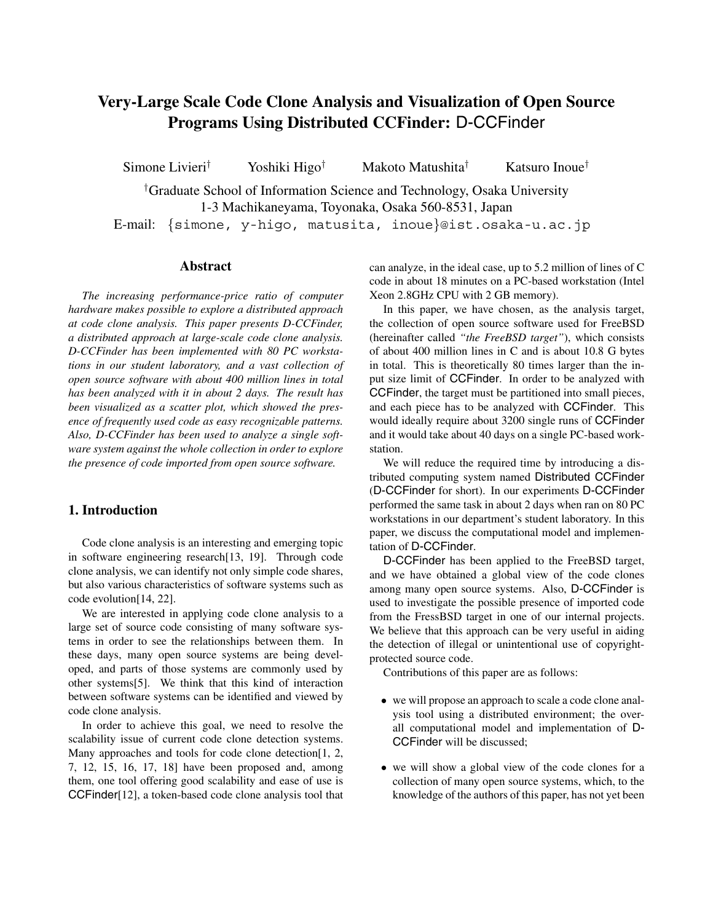# **Very-Large Scale Code Clone Analysis and Visualization of Open Source Programs Using Distributed CCFinder:** D-CCFinder

Simone Livieri*†* Yoshiki Higo*†* Makoto Matushita*†* Katsuro Inoue*†*

*†* Graduate School of Information Science and Technology, Osaka University 1-3 Machikaneyama, Toyonaka, Osaka 560-8531, Japan

E-mail: {simone, y-higo, matusita, inoue}@ist.osaka-u.ac.jp

#### **Abstract**

*The increasing performance-price ratio of computer hardware makes possible to explore a distributed approach at code clone analysis. This paper presents D-CCFinder, a distributed approach at large-scale code clone analysis. D-CCFinder has been implemented with 80 PC workstations in our student laboratory, and a vast collection of open source software with about 400 million lines in total has been analyzed with it in about 2 days. The result has been visualized as a scatter plot, which showed the presence of frequently used code as easy recognizable patterns. Also, D-CCFinder has been used to analyze a single software system against the whole collection in order to explore the presence of code imported from open source software.*

#### **1. Introduction**

Code clone analysis is an interesting and emerging topic in software engineering research[13, 19]. Through code clone analysis, we can identify not only simple code shares, but also various characteristics of software systems such as code evolution[14, 22].

We are interested in applying code clone analysis to a large set of source code consisting of many software systems in order to see the relationships between them. In these days, many open source systems are being developed, and parts of those systems are commonly used by other systems[5]. We think that this kind of interaction between software systems can be identified and viewed by code clone analysis.

In order to achieve this goal, we need to resolve the scalability issue of current code clone detection systems. Many approaches and tools for code clone detection[1, 2, 7, 12, 15, 16, 17, 18] have been proposed and, among them, one tool offering good scalability and ease of use is CCFinder[12], a token-based code clone analysis tool that can analyze, in the ideal case, up to 5.2 million of lines of C code in about 18 minutes on a PC-based workstation (Intel Xeon 2.8GHz CPU with 2 GB memory).

In this paper, we have chosen, as the analysis target, the collection of open source software used for FreeBSD (hereinafter called *"the FreeBSD target"*), which consists of about 400 million lines in C and is about 10.8 G bytes in total. This is theoretically 80 times larger than the input size limit of CCFinder. In order to be analyzed with CCFinder, the target must be partitioned into small pieces, and each piece has to be analyzed with CCFinder. This would ideally require about 3200 single runs of CCFinder and it would take about 40 days on a single PC-based workstation.

We will reduce the required time by introducing a distributed computing system named Distributed CCFinder (D-CCFinder for short). In our experiments D-CCFinder performed the same task in about 2 days when ran on 80 PC workstations in our department's student laboratory. In this paper, we discuss the computational model and implementation of D-CCFinder.

D-CCFinder has been applied to the FreeBSD target, and we have obtained a global view of the code clones among many open source systems. Also, D-CCFinder is used to investigate the possible presence of imported code from the FressBSD target in one of our internal projects. We believe that this approach can be very useful in aiding the detection of illegal or unintentional use of copyrightprotected source code.

Contributions of this paper are as follows:

- we will propose an approach to scale a code clone analysis tool using a distributed environment; the overall computational model and implementation of D-CCFinder will be discussed;
- we will show a global view of the code clones for a collection of many open source systems, which, to the knowledge of the authors of this paper, has not yet been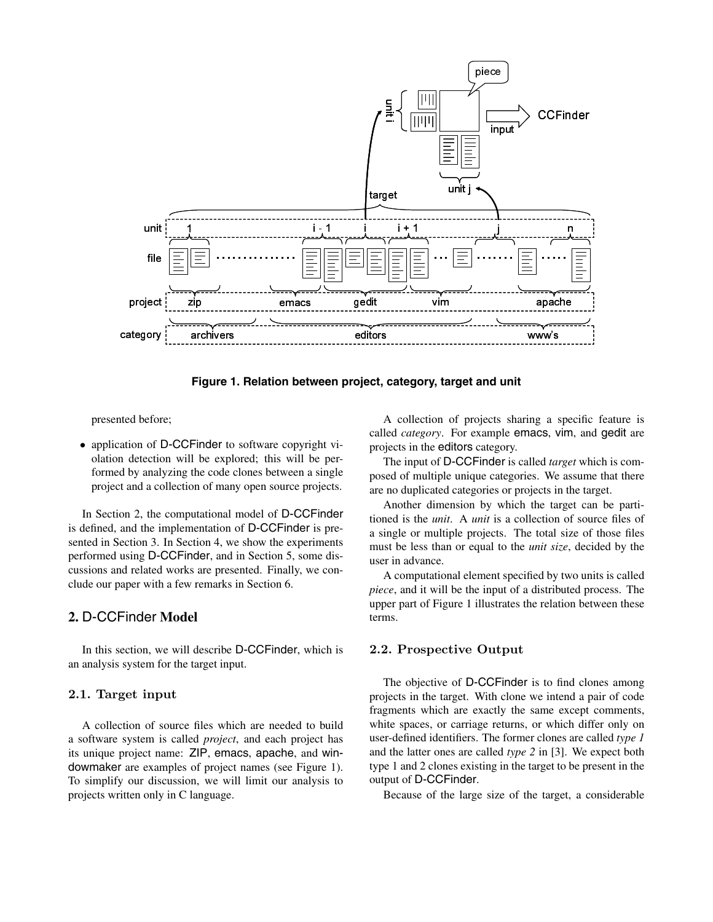

**Figure 1. Relation between project, category, target and unit**

presented before;

• application of D-CCFinder to software copyright violation detection will be explored; this will be performed by analyzing the code clones between a single project and a collection of many open source projects.

In Section 2, the computational model of D-CCFinder is defined, and the implementation of D-CCFinder is presented in Section 3. In Section 4, we show the experiments performed using D-CCFinder, and in Section 5, some discussions and related works are presented. Finally, we conclude our paper with a few remarks in Section 6.

# **2.** D-CCFinder **Model**

In this section, we will describe D-CCFinder, which is an analysis system for the target input.

#### **2.1. Target input**

A collection of source files which are needed to build a software system is called *project*, and each project has its unique project name: ZIP, emacs, apache, and windowmaker are examples of project names (see Figure 1). To simplify our discussion, we will limit our analysis to projects written only in C language.

A collection of projects sharing a specific feature is called *category*. For example emacs, vim, and gedit are projects in the editors category.

The input of D-CCFinder is called *target* which is composed of multiple unique categories. We assume that there are no duplicated categories or projects in the target.

Another dimension by which the target can be partitioned is the *unit*. A *unit* is a collection of source files of a single or multiple projects. The total size of those files must be less than or equal to the *unit size*, decided by the user in advance.

A computational element specified by two units is called *piece*, and it will be the input of a distributed process. The upper part of Figure 1 illustrates the relation between these terms.

# **2.2. Prospective Output**

The objective of D-CCFinder is to find clones among projects in the target. With clone we intend a pair of code fragments which are exactly the same except comments, white spaces, or carriage returns, or which differ only on user-defined identifiers. The former clones are called *type 1* and the latter ones are called *type 2* in [3]. We expect both type 1 and 2 clones existing in the target to be present in the output of D-CCFinder.

Because of the large size of the target, a considerable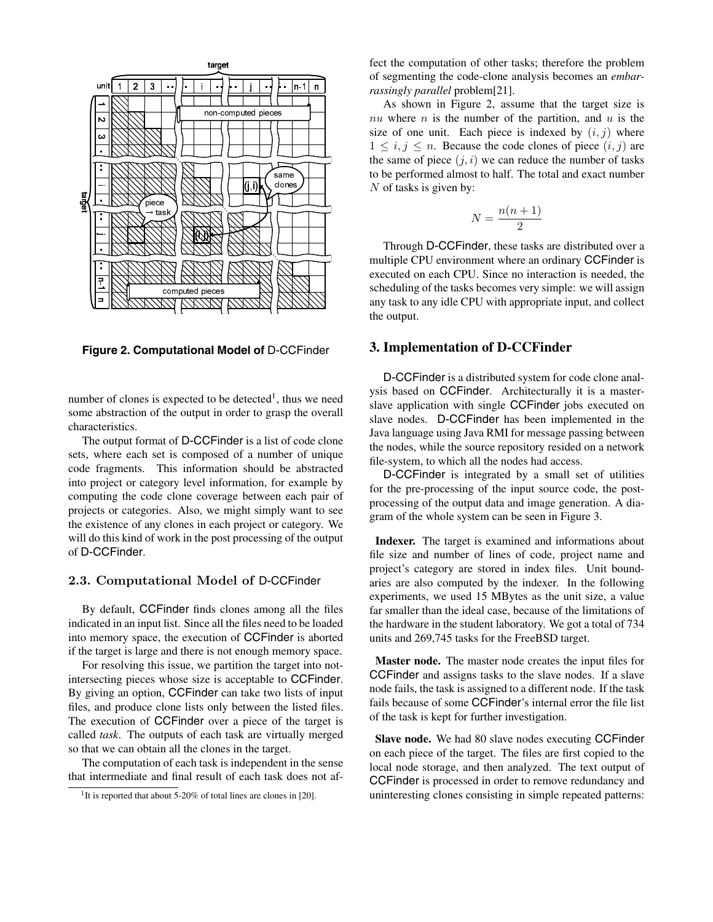

**Figure 2. Computational Model of** D-CCFinder

number of clones is expected to be detected<sup>1</sup>, thus we need some abstraction of the output in order to grasp the overall characteristics.

**EXAMPLE 2014**<br> **CONTROM AND EXECUTE:**<br>
to the output in<br>
to to D-CCFin<br>
t is composed<br>
this informationy level infection<br>
clone coverals.<br>
Also, we idency clones in eac<br>
cork in the pose<br>
ional Mod<br>
inder finds c<br>
list.  $\begin{array}{c}\n\rightarrow \text{tas} \\
\rightarrow \text{ tas} \\
\rightarrow \text{ tas} \\
\rightarrow \text{tras} \\
\rightarrow \text{Ts} \\
\rightarrow \text{Ts} \\
\rightarrow \text{Ts} \\
\rightarrow \text{Ts} \\
\rightarrow \text{cs} \\
\rightarrow \text{cm} \\
\rightarrow \text{cm} \\
\rightarrow \text{cm} \\
\rightarrow \text{cm} \\
\rightarrow \text{cm} \\
\rightarrow \text{cm} \\
\rightarrow \text{cm} \\
\rightarrow \text{cm} \\
\rightarrow \text{cm} \\
\rightarrow \text{cm} \\
\rightarrow \text{cm} \\
\rightarrow \text{cm} \\
\rightarrow \text{cm} \\
\rightarrow \text{cm} \\
\rightarrow \text{cm} \\
\rightarrow \text{cm} \\
\rightarrow \text{cm} \\
\rightarrow \text$  $\begin{array}{ccc} \mathbf{1} & \mathbf{1} & \mathbf{1} & \mathbf{1} \\ \mathbf{1} & \mathbf{1} & \mathbf{1} & \mathbf{1} \\ \mathbf{1} & \mathbf{1} & \mathbf{1} & \mathbf{1} \\ \mathbf{1} & \mathbf{1} & \mathbf{1} & \mathbf{1} \\ \mathbf{1} & \mathbf{1} & \mathbf{1} & \mathbf{1} \\ \mathbf{1} & \mathbf{1} & \mathbf{1} & \mathbf{1} \\ \mathbf{1} & \mathbf{1} & \mathbf{1} & \mathbf{1} \\ \mathbf{1} & \mathbf{1} & \mathbf$ The output format of D-CCFinder is a list of code clone sets, where each set is composed of a number of unique code fragments. This information should be abstracted into project or category level information, for example by computing the code clone coverage between each pair of projects or categories. Also, we might simply want to see the existence of any clones in each project or category. We will do this kind of work in the post processing of the output of D-CCFinder.

#### **2.3. Computational Model of** D-CCFinder

By default, CCFinder finds clones among all the files indicated in an input list. Since all the files need to be loaded into memory space, the execution of CCFinder is aborted if the target is large and there is not enough memory space.

For resolving this issue, we partition the target into notintersecting pieces whose size is acceptable to CCFinder. By giving an option, CCFinder can take two lists of input files, and produce clone lists only between the listed files. The execution of CCFinder over a piece of the target is called *task*. The outputs of each task are virtually merged so that we can obtain all the clones in the target.

The computation of each task is independent in the sense that intermediate and final result of each task does not affect the computation of other tasks; therefore the problem of segmenting the code-clone analysis becomes an *embarrassingly parallel* problem[21].

As shown in Figure 2, assume that the target size is *nu* where *n* is the number of the partition, and *u* is the size of one unit. Each piece is indexed by  $(i, j)$  where  $1 \leq i, j \leq n$ . Because the code clones of piece  $(i, j)$  are the same of piece  $(j, i)$  we can reduce the number of tasks to be performed almost to half. The total and exact number *N* of tasks is given by:

$$
N = \frac{n(n+1)}{2}
$$

Through D-CCFinder, these tasks are distributed over a multiple CPU environment where an ordinary CCFinder is executed on each CPU. Since no interaction is needed, the scheduling of the tasks becomes very simple: we will assign any task to any idle CPU with appropriate input, and collect the output.

#### **3. Implementation of D-CCFinder**

D-CCFinder is a distributed system for code clone analysis based on CCFinder. Architecturally it is a masterslave application with single CCFinder jobs executed on slave nodes. D-CCFinder has been implemented in the Java language using Java RMI for message passing between the nodes, while the source repository resided on a network file-system, to which all the nodes had access.

D-CCFinder is integrated by a small set of utilities for the pre-processing of the input source code, the postprocessing of the output data and image generation. A diagram of the whole system can be seen in Figure 3.

**Indexer.** The target is examined and informations about file size and number of lines of code, project name and project's category are stored in index files. Unit boundaries are also computed by the indexer. In the following experiments, we used 15 MBytes as the unit size, a value far smaller than the ideal case, because of the limitations of the hardware in the student laboratory. We got a total of 734 units and 269,745 tasks for the FreeBSD target.

**Master node.** The master node creates the input files for CCFinder and assigns tasks to the slave nodes. If a slave node fails, the task is assigned to a different node. If the task fails because of some CCFinder's internal error the file list of the task is kept for further investigation.

**Slave node.** We had 80 slave nodes executing CCFinder on each piece of the target. The files are first copied to the local node storage, and then analyzed. The text output of CCFinder is processed in order to remove redundancy and uninteresting clones consisting in simple repeated patterns:

<sup>&</sup>lt;sup>1</sup>It is reported that about 5-20% of total lines are clones in [20].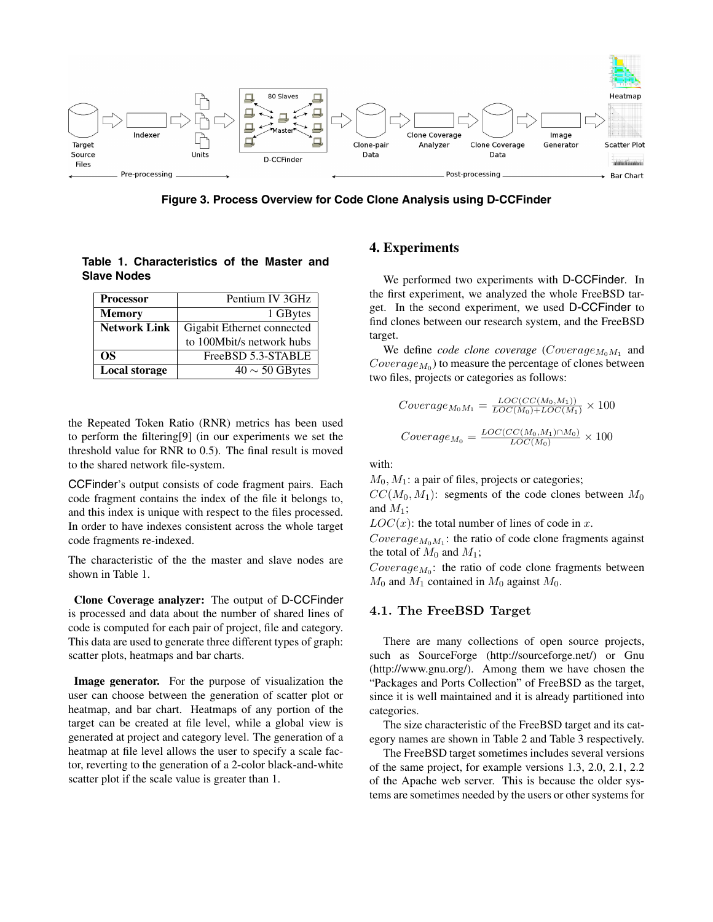

**Figure 3. Process Overview for Code Clone Analysis using D-CCFinder**

**Table 1. Characteristics of the Master and Slave Nodes**

| <b>Processor</b>     | Pentium IV 3GHz            |  |  |
|----------------------|----------------------------|--|--|
| <b>Memory</b>        | 1 GBytes                   |  |  |
| <b>Network Link</b>  | Gigabit Ethernet connected |  |  |
|                      | to 100Mbit/s network hubs  |  |  |
| OS.                  | FreeBSD 5.3-STABLE         |  |  |
| <b>Local storage</b> | $40 \sim 50$ GBytes        |  |  |

the Repeated Token Ratio (RNR) metrics has been used to perform the filtering[9] (in our experiments we set the threshold value for RNR to 0.5). The final result is moved to the shared network file-system.

CCFinder's output consists of code fragment pairs. Each code fragment contains the index of the file it belongs to, and this index is unique with respect to the files processed. In order to have indexes consistent across the whole target code fragments re-indexed.

The characteristic of the the master and slave nodes are shown in Table 1.

**Clone Coverage analyzer:** The output of D-CCFinder is processed and data about the number of shared lines of code is computed for each pair of project, file and category. This data are used to generate three different types of graph: scatter plots, heatmaps and bar charts.

**Image generator.** For the purpose of visualization the user can choose between the generation of scatter plot or heatmap, and bar chart. Heatmaps of any portion of the target can be created at file level, while a global view is generated at project and category level. The generation of a heatmap at file level allows the user to specify a scale factor, reverting to the generation of a 2-color black-and-white scatter plot if the scale value is greater than 1.

# **4. Experiments**

We performed two experiments with D-CCFinder. In the first experiment, we analyzed the whole FreeBSD target. In the second experiment, we used D-CCFinder to find clones between our research system, and the FreeBSD target.

We define *code clone coverage* (*Coverage*<sub> $M_0M_1$ </sub> and  $Coverage_{M_0}$ ) to measure the percentage of clones between two files, projects or categories as follows:

$$
Coverage_{M_0M_1} = \frac{LOC(CC(M_0, M_1))}{LOC(M_0) + LOC(M_1)} \times 100
$$
  
\n
$$
Coverage_{M_0} = \frac{LOC(CC(M_0, M_1) \cap M_0)}{LOC(M_0)} \times 100
$$

with:

*<sup>M</sup>*<sup>0</sup>*, M*<sup>1</sup>: a pair of files, projects or categories;

 $CC(M_0, M_1)$ : segments of the code clones between  $M_0$ and  $M_1$ ;

 $LOC(x)$ : the total number of lines of code in *x*.

*Coverage*<sub>*M*<sup>0</sup>*M*<sub>1</sub></sub>: the ratio of code clone fragments against the total of  $M_0$  and  $M_1$ ;

*Coverage* $M_0$ : the ratio of code clone fragments between  $M_0$  and  $M_1$  contained in  $M_0$  against  $M_0$ .

#### **4.1. The FreeBSD Target**

There are many collections of open source projects, such as SourceForge (http://sourceforge.net/) or Gnu (http://www.gnu.org/). Among them we have chosen the "Packages and Ports Collection" of FreeBSD as the target, since it is well maintained and it is already partitioned into categories.

The size characteristic of the FreeBSD target and its category names are shown in Table 2 and Table 3 respectively.

The FreeBSD target sometimes includes several versions of the same project, for example versions 1.3, 2.0, 2.1, 2.2 of the Apache web server. This is because the older systems are sometimes needed by the users or other systems for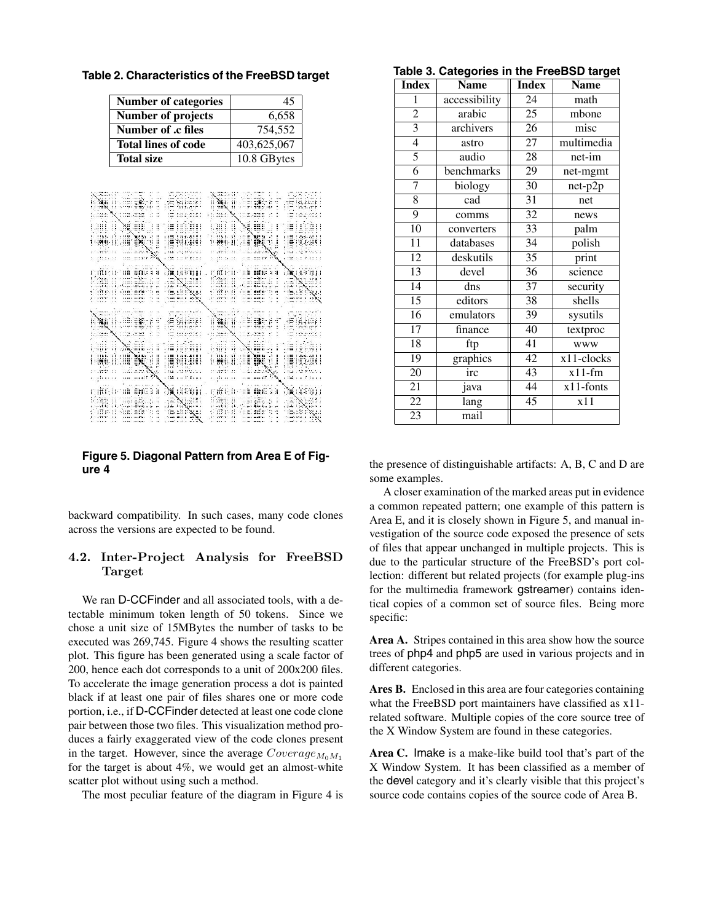**Number of categories** 45 **Number of projects** 6,658 **Number of .c files** 754,552 **Total lines of code** 403,625,067 **Total size** 10.8 GBytes mit bir i W:F . EMISI 羬 x, ∷ntean a i di negara de tangland i  $\frac{1}{2}$ mata aióbo idil i Xulidar **LIBE B** N B u s a inter **FREDERICK** 12-1024 ii in **THIME!!**  $1.801.1$  $\approx$   $\approx$  $\approx$  mass  $t$ gh boos rentrement ministri matted and demand N (NIT)) ें के स्वेत के लिए an a an an 滩 2014

∰i

鏁 Ä

 $\ddotsc$ 

all

灧菲

Her

91

R

iduzini

x iii

WK.

in the figure of the state

**JERES** 

96

擅

di urk

andia

**膜微斑目** 

演 (詳句) EXR

men

B

counter.

 $\chi$  . . . . li

1996 II : III : IX : I

rentrement moral a

 $\frac{1}{2}$ 

Mêr li Goles

浯

noglect.

aidti

**ENTAL** 

(XXVII)

W

**Table 2. Characteristics of the FreeBSD target**

**Figure 5. Diagonal Pattern from Area E of Figure 4**

backward compatibility. In such cases, many code clones across the versions are expected to be found.

# **4.2. Inter-Project Analysis for FreeBSD Target**

We ran D-CCFinder and all associated tools, with a detectable minimum token length of 50 tokens. Since we chose a unit size of 15MBytes the number of tasks to be executed was 269,745. Figure 4 shows the resulting scatter plot. This figure has been generated using a scale factor of 200, hence each dot corresponds to a unit of 200x200 files. To accelerate the image generation process a dot is painted black if at least one pair of files shares one or more code portion, i.e., if D-CCFinder detected at least one code clone pair between those two files. This visualization method produces a fairly exaggerated view of the code clones present in the target. However, since the average  $Coverage_{M_0M_1}$ for the target is about 4%, we would get an almost-white scatter plot without using such a method.

The most peculiar feature of the diagram in Figure 4 is

**Table 3. Categories in the FreeBSD target**

| <b>Index</b>            | <b>Name</b>   | <b>Index</b>    | <b>Name</b>  |  |
|-------------------------|---------------|-----------------|--------------|--|
| 1                       | accessibility | 24              | math         |  |
| $\overline{2}$          | arabic        | $\overline{25}$ | mbone        |  |
| $\overline{\mathbf{3}}$ | archivers     | 26              | misc         |  |
| $\overline{4}$          | astro         | 27              | multimedia   |  |
| 5                       | audio         | 28              | net-im       |  |
| $\overline{6}$          | benchmarks    | $\overline{29}$ | net-mgmt     |  |
| 7                       | biology       | 30              | net-p2p      |  |
| $\overline{8}$          | cad           | $\overline{31}$ | net          |  |
| 9                       | comms         | $\overline{32}$ | news         |  |
| $\overline{10}$         | converters    | $\overline{33}$ | palm         |  |
| $\overline{11}$         | databases     | $\overline{34}$ | polish       |  |
| 12                      | deskutils     | $\overline{35}$ | print        |  |
| $\overline{13}$         | devel         | $\overline{36}$ | science      |  |
| 14                      | dns           | 37              | security     |  |
| 15                      | editors       | $\overline{38}$ | shells       |  |
| 16                      | emulators     | 39              | sysutils     |  |
| $\overline{17}$         | finance       | 40              | textproc     |  |
| 18                      | ftp           | 41              | <b>WWW</b>   |  |
| 19                      | graphics      | 42              | x11-clocks   |  |
| $\overline{20}$         | irc           | $\overline{43}$ | $x11-fm$     |  |
| $\overline{21}$         | java          | $\overline{44}$ | $x11$ -fonts |  |
| $\overline{22}$         | lang          | 45              | x11          |  |
| 23                      | mail          |                 |              |  |

the presence of distinguishable artifacts: A, B, C and D are some examples.

A closer examination of the marked areas put in evidence a common repeated pattern; one example of this pattern is Area E, and it is closely shown in Figure 5, and manual investigation of the source code exposed the presence of sets of files that appear unchanged in multiple projects. This is due to the particular structure of the FreeBSD's port collection: different but related projects (for example plug-ins for the multimedia framework gstreamer) contains identical copies of a common set of source files. Being more specific:

**Area A.** Stripes contained in this area show how the source trees of php4 and php5 are used in various projects and in different categories.

**Ares B.** Enclosed in this area are four categories containing what the FreeBSD port maintainers have classified as x11 related software. Multiple copies of the core source tree of the X Window System are found in these categories.

**Area C.** Imake is a make-like build tool that's part of the X Window System. It has been classified as a member of the devel category and it's clearly visible that this project's source code contains copies of the source code of Area B.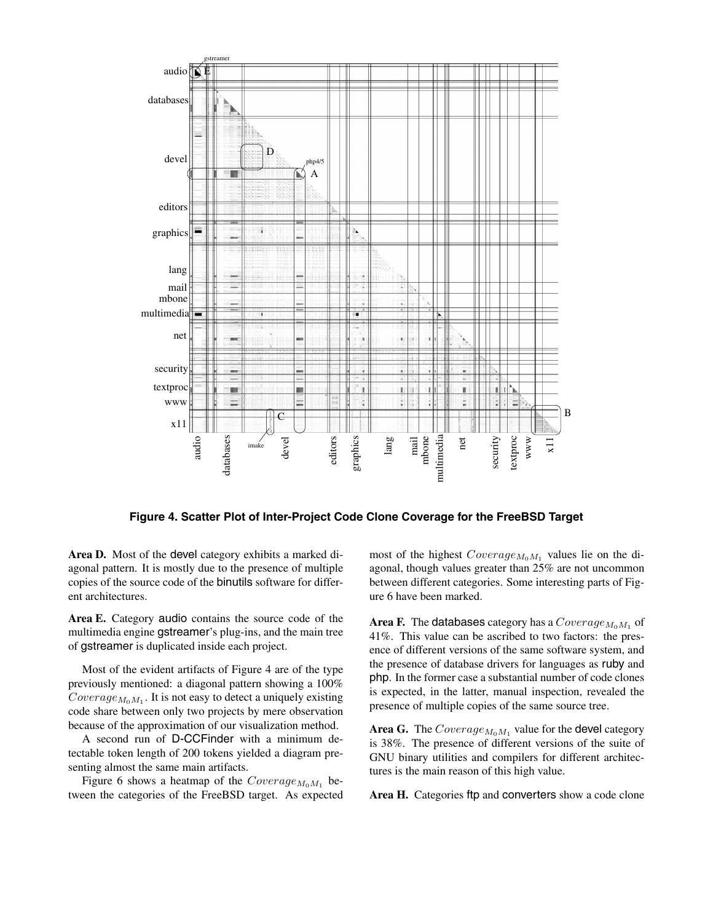

**Figure 4. Scatter Plot of Inter-Project Code Clone Coverage for the FreeBSD Target**

**Area D.** Most of the devel category exhibits a marked diagonal pattern. It is mostly due to the presence of multiple copies of the source code of the binutils software for different architectures.

**Area E.** Category audio contains the source code of the multimedia engine gstreamer's plug-ins, and the main tree of gstreamer is duplicated inside each project.

Most of the evident artifacts of Figure 4 are of the type previously mentioned: a diagonal pattern showing a 100% *Coverage*<sub> $M_0$ </sub>  $M_1$ . It is not easy to detect a uniquely existing code share between only two projects by mere observation because of the approximation of our visualization method.

A second run of D-CCFinder with a minimum detectable token length of 200 tokens yielded a diagram presenting almost the same main artifacts.

Figure 6 shows a heatmap of the  $Coverage_{M_0M_1}$  between the categories of the FreeBSD target. As expected most of the highest  $Coverage_{M_0M_1}$  values lie on the diagonal, though values greater than 25% are not uncommon between different categories. Some interesting parts of Figure 6 have been marked.

**Area F.** The databases category has a  $Coverage_{M_0M_1}$  of 41%. This value can be ascribed to two factors: the presence of different versions of the same software system, and the presence of database drivers for languages as ruby and php. In the former case a substantial number of code clones is expected, in the latter, manual inspection, revealed the presence of multiple copies of the same source tree.

**Area G.** The  $Coverage_{M_0M_1}$  value for the **devel** category is 38%. The presence of different versions of the suite of GNU binary utilities and compilers for different architectures is the main reason of this high value.

Area H. Categories ftp and converters show a code clone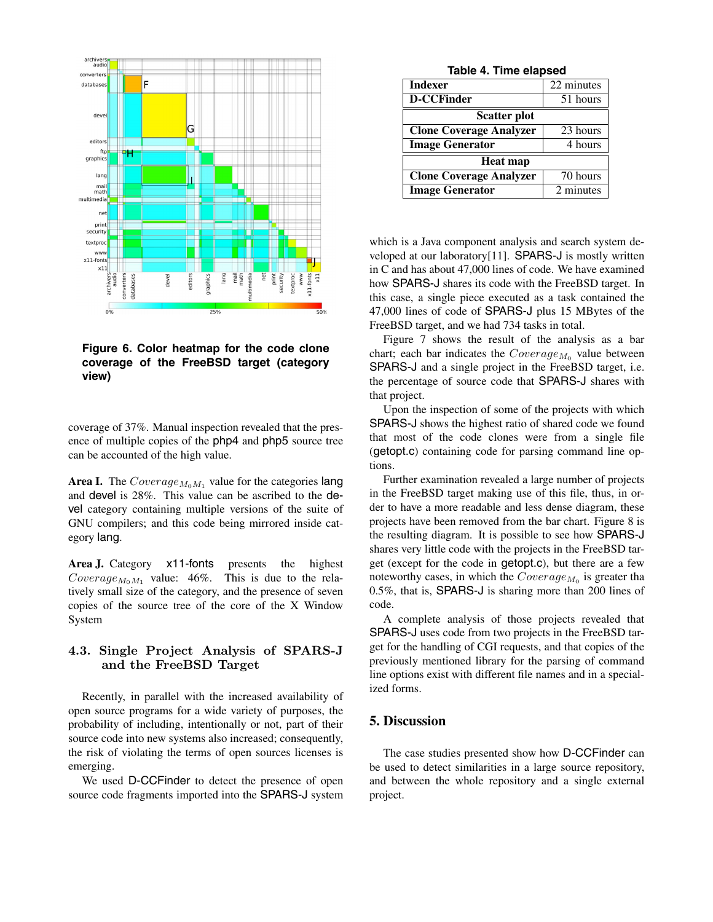

**Figure 6. Color heatmap for the code clone coverage of the FreeBSD target (category view)**

coverage of 37%. Manual inspection revealed that the presence of multiple copies of the php4 and php5 source tree can be accounted of the high value.

**Area I.** The  $Coverage_{M_0M_1}$  value for the categories lang and devel is 28%. This value can be ascribed to the devel category containing multiple versions of the suite of GNU compilers; and this code being mirrored inside category lang.

**Area J.** Category x11-fonts presents the highest *Coverage*<sub>*M*<sup>0</sup>*M*<sub>1</sub></sub> value: 46%. This is due to the relatively small size of the category, and the presence of seven copies of the source tree of the core of the X Window System

#### **4.3. Single Project Analysis of SPARS-J and the FreeBSD Target**

Recently, in parallel with the increased availability of open source programs for a wide variety of purposes, the probability of including, intentionally or not, part of their source code into new systems also increased; consequently, the risk of violating the terms of open sources licenses is emerging.

We used D-CCFinder to detect the presence of open source code fragments imported into the SPARS-J system

**Table 4. Time elapsed**

| <b>Indexer</b>                 | 22 minutes             |  |  |
|--------------------------------|------------------------|--|--|
| <b>D-CCFinder</b>              | 51 hours               |  |  |
| Scatter plot                   |                        |  |  |
| <b>Clone Coverage Analyzer</b> | 23 hours               |  |  |
| <b>Image Generator</b>         | 4 hours                |  |  |
| Heat map                       |                        |  |  |
| <b>Clone Coverage Analyzer</b> | 70 hours               |  |  |
| <b>Image Generator</b>         | $\overline{2}$ minutes |  |  |

which is a Java component analysis and search system developed at our laboratory[11]. SPARS-J is mostly written in C and has about 47,000 lines of code. We have examined how SPARS-J shares its code with the FreeBSD target. In this case, a single piece executed as a task contained the 47,000 lines of code of SPARS-J plus 15 MBytes of the FreeBSD target, and we had 734 tasks in total.

Figure 7 shows the result of the analysis as a bar chart; each bar indicates the *Coverage*<sub>*M*<sup>0</sup></sub> value between SPARS-J and a single project in the FreeBSD target, i.e. the percentage of source code that SPARS-J shares with that project.

Upon the inspection of some of the projects with which SPARS-J shows the highest ratio of shared code we found that most of the code clones were from a single file (getopt.c) containing code for parsing command line options.

Further examination revealed a large number of projects in the FreeBSD target making use of this file, thus, in order to have a more readable and less dense diagram, these projects have been removed from the bar chart. Figure 8 is the resulting diagram. It is possible to see how SPARS-J shares very little code with the projects in the FreeBSD target (except for the code in getopt.c), but there are a few noteworthy cases, in which the  $Coverage_{M_0}$  is greater tha 0.5%, that is, SPARS-J is sharing more than 200 lines of code.

A complete analysis of those projects revealed that SPARS-J uses code from two projects in the FreeBSD target for the handling of CGI requests, and that copies of the previously mentioned library for the parsing of command line options exist with different file names and in a specialized forms.

# **5. Discussion**

The case studies presented show how D-CCFinder can be used to detect similarities in a large source repository, and between the whole repository and a single external project.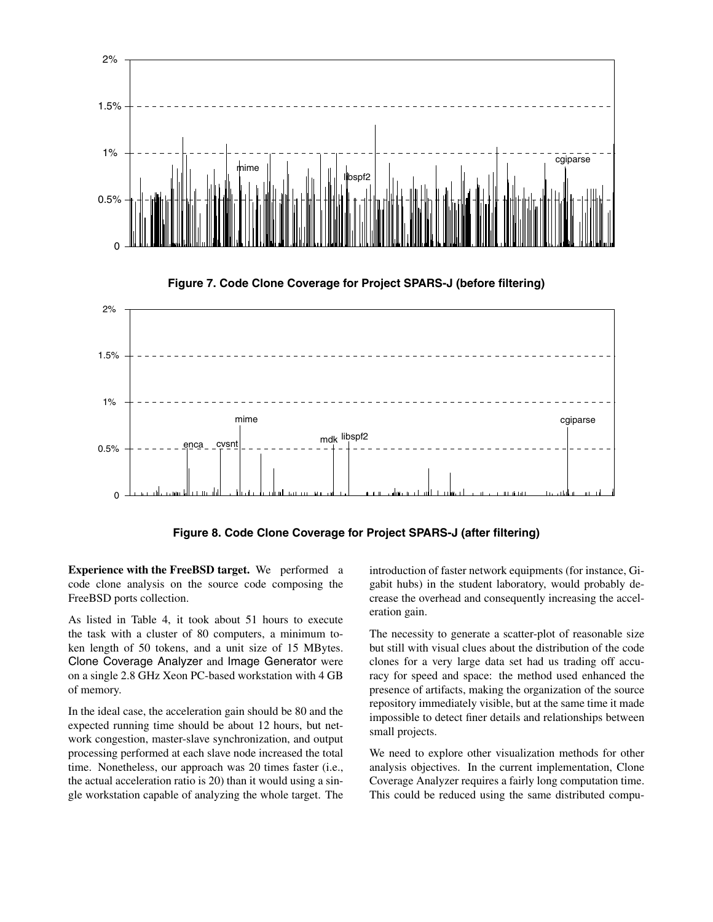

**Figure 8. Code Clone Coverage for Project SPARS-J (after filtering)**

mdk libspf2

**Experience with the FreeBSD target.** We performed a code clone analysis on the source code composing the FreeBSD ports collection.

enca cvsnt

mime

0

0.5%

1%

As listed in Table 4, it took about 51 hours to execute the task with a cluster of 80 computers, a minimum token length of 50 tokens, and a unit size of 15 MBytes. Clone Coverage Analyzer and Image Generator were on a single 2.8 GHz Xeon PC-based workstation with 4 GB of memory.

In the ideal case, the acceleration gain should be 80 and the expected running time should be about 12 hours, but network congestion, master-slave synchronization, and output processing performed at each slave node increased the total time. Nonetheless, our approach was 20 times faster (i.e., the actual acceleration ratio is 20) than it would using a single workstation capable of analyzing the whole target. The

introduction of faster network equipments (for instance, Gigabit hubs) in the student laboratory, would probably decrease the overhead and consequently increasing the acceleration gain.

cgiparse

The necessity to generate a scatter-plot of reasonable size but still with visual clues about the distribution of the code clones for a very large data set had us trading off accuracy for speed and space: the method used enhanced the presence of artifacts, making the organization of the source repository immediately visible, but at the same time it made impossible to detect finer details and relationships between small projects.

We need to explore other visualization methods for other analysis objectives. In the current implementation, Clone Coverage Analyzer requires a fairly long computation time. This could be reduced using the same distributed compu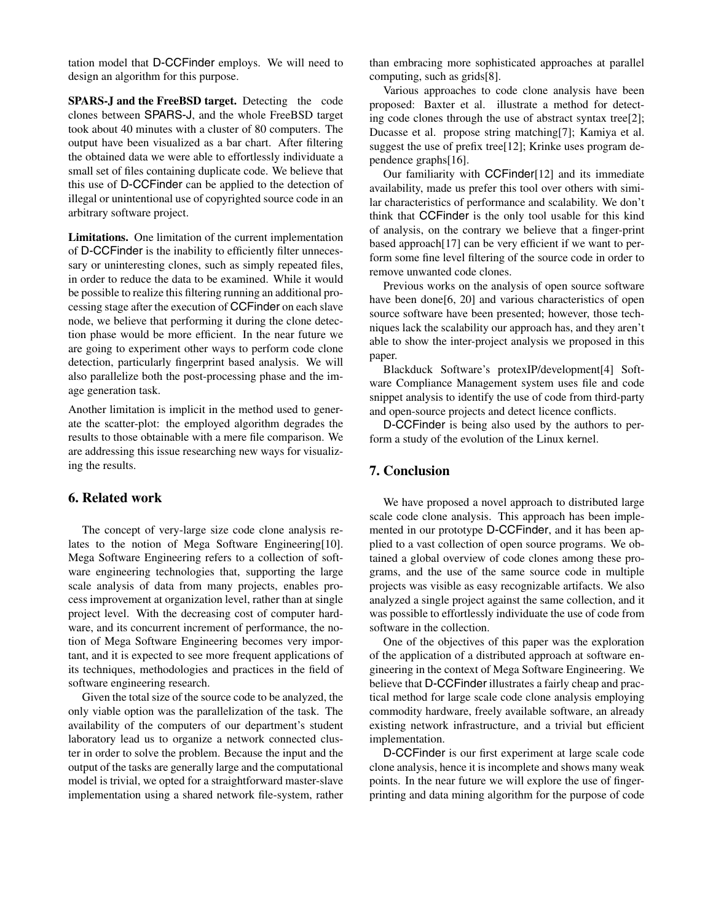tation model that D-CCFinder employs. We will need to design an algorithm for this purpose.

**SPARS-J and the FreeBSD target.** Detecting the code clones between SPARS-J, and the whole FreeBSD target took about 40 minutes with a cluster of 80 computers. The output have been visualized as a bar chart. After filtering the obtained data we were able to effortlessly individuate a small set of files containing duplicate code. We believe that this use of D-CCFinder can be applied to the detection of illegal or unintentional use of copyrighted source code in an arbitrary software project.

**Limitations.** One limitation of the current implementation of D-CCFinder is the inability to efficiently filter unnecessary or uninteresting clones, such as simply repeated files, in order to reduce the data to be examined. While it would be possible to realize this filtering running an additional processing stage after the execution of CCFinder on each slave node, we believe that performing it during the clone detection phase would be more efficient. In the near future we are going to experiment other ways to perform code clone detection, particularly fingerprint based analysis. We will also parallelize both the post-processing phase and the image generation task.

Another limitation is implicit in the method used to generate the scatter-plot: the employed algorithm degrades the results to those obtainable with a mere file comparison. We are addressing this issue researching new ways for visualizing the results.

# **6. Related work**

The concept of very-large size code clone analysis relates to the notion of Mega Software Engineering[10]. Mega Software Engineering refers to a collection of software engineering technologies that, supporting the large scale analysis of data from many projects, enables process improvement at organization level, rather than at single project level. With the decreasing cost of computer hardware, and its concurrent increment of performance, the notion of Mega Software Engineering becomes very important, and it is expected to see more frequent applications of its techniques, methodologies and practices in the field of software engineering research.

Given the total size of the source code to be analyzed, the only viable option was the parallelization of the task. The availability of the computers of our department's student laboratory lead us to organize a network connected cluster in order to solve the problem. Because the input and the output of the tasks are generally large and the computational model is trivial, we opted for a straightforward master-slave implementation using a shared network file-system, rather

than embracing more sophisticated approaches at parallel computing, such as grids[8].

Various approaches to code clone analysis have been proposed: Baxter et al. illustrate a method for detecting code clones through the use of abstract syntax tree[2]; Ducasse et al. propose string matching[7]; Kamiya et al. suggest the use of prefix tree[12]; Krinke uses program dependence graphs[16].

Our familiarity with CCFinder[12] and its immediate availability, made us prefer this tool over others with similar characteristics of performance and scalability. We don't think that CCFinder is the only tool usable for this kind of analysis, on the contrary we believe that a finger-print based approach[17] can be very efficient if we want to perform some fine level filtering of the source code in order to remove unwanted code clones.

Previous works on the analysis of open source software have been done[6, 20] and various characteristics of open source software have been presented; however, those techniques lack the scalability our approach has, and they aren't able to show the inter-project analysis we proposed in this paper.

Blackduck Software's protexIP/development[4] Software Compliance Management system uses file and code snippet analysis to identify the use of code from third-party and open-source projects and detect licence conflicts.

D-CCFinder is being also used by the authors to perform a study of the evolution of the Linux kernel.

#### **7. Conclusion**

We have proposed a novel approach to distributed large scale code clone analysis. This approach has been implemented in our prototype D-CCFinder, and it has been applied to a vast collection of open source programs. We obtained a global overview of code clones among these programs, and the use of the same source code in multiple projects was visible as easy recognizable artifacts. We also analyzed a single project against the same collection, and it was possible to effortlessly individuate the use of code from software in the collection.

One of the objectives of this paper was the exploration of the application of a distributed approach at software engineering in the context of Mega Software Engineering. We believe that D-CCFinder illustrates a fairly cheap and practical method for large scale code clone analysis employing commodity hardware, freely available software, an already existing network infrastructure, and a trivial but efficient implementation.

D-CCFinder is our first experiment at large scale code clone analysis, hence it is incomplete and shows many weak points. In the near future we will explore the use of fingerprinting and data mining algorithm for the purpose of code